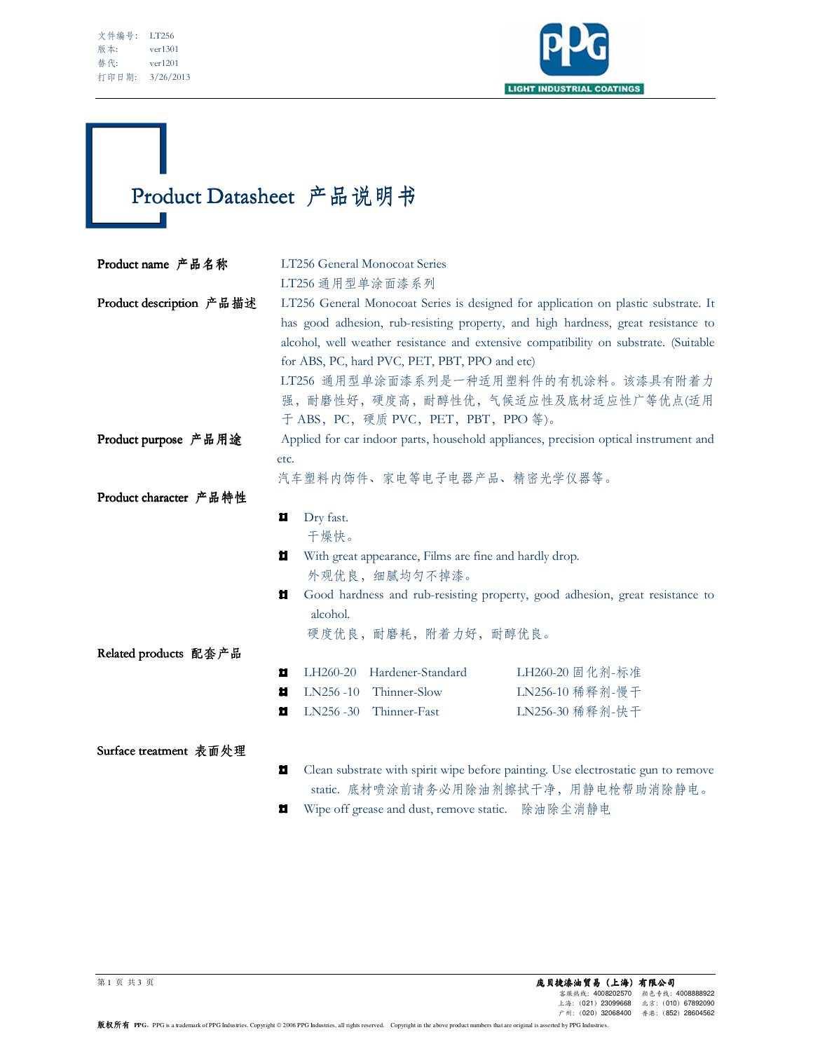Ī



## Product Datasheet 产品说明书 F.

| Product name 产品名称        |                                                                                                                            | LT256 General Monocoat Series |                 |  |
|--------------------------|----------------------------------------------------------------------------------------------------------------------------|-------------------------------|-----------------|--|
|                          | LT256 通用型单涂面漆系列                                                                                                            |                               |                 |  |
| Product description 产品描述 | LT256 General Monocoat Series is designed for application on plastic substrate. It                                         |                               |                 |  |
|                          | has good adhesion, rub-resisting property, and high hardness, great resistance to                                          |                               |                 |  |
|                          | alcohol, well weather resistance and extensive compatibility on substrate. (Suitable                                       |                               |                 |  |
|                          | for ABS, PC, hard PVC, PET, PBT, PPO and etc)                                                                              |                               |                 |  |
|                          | LT256 通用型单涂面漆系列是一种适用塑料件的有机涂料。该漆具有附着力                                                                                       |                               |                 |  |
|                          | 强,耐磨性好,硬度高,耐醇性优,气候适应性及底材适应性广等优点(适用                                                                                         |                               |                 |  |
|                          | 于 ABS, PC, 硬质 PVC, PET, PBT, PPO 等)。                                                                                       |                               |                 |  |
| Product purpose 产品用途     | Applied for car indoor parts, household appliances, precision optical instrument and<br>etc.<br>汽车塑料内饰件、家电等电子电器产品、精密光学仪器等。 |                               |                 |  |
|                          |                                                                                                                            |                               |                 |  |
|                          |                                                                                                                            |                               |                 |  |
| Product character 产品特性   |                                                                                                                            |                               |                 |  |
|                          | Dry fast.<br>Ц                                                                                                             |                               |                 |  |
|                          | 干燥快。                                                                                                                       |                               |                 |  |
|                          | With great appearance, Films are fine and hardly drop.<br>Ц<br>外观优良, 细腻均匀不掉漆。                                              |                               |                 |  |
|                          |                                                                                                                            |                               |                 |  |
|                          | Ħ<br>Good hardness and rub-resisting property, good adhesion, great resistance to                                          |                               |                 |  |
|                          | alcohol.                                                                                                                   |                               |                 |  |
|                          |                                                                                                                            | 硬度优良, 耐磨耗, 附着力好, 耐醇优良。        |                 |  |
| Related products 配套产品    |                                                                                                                            |                               |                 |  |
|                          | LH260-20<br>п                                                                                                              | Hardener-Standard             | LH260-20 固化剂-标准 |  |
|                          | LN256-10<br>п                                                                                                              | Thinner-Slow                  | LN256-10 稀释剂-慢干 |  |
|                          | Ц<br>$LN256 - 30$                                                                                                          | Thinner-Fast                  | LN256-30 稀释剂-快干 |  |
|                          |                                                                                                                            |                               |                 |  |
| Surface treatment 表面处理   |                                                                                                                            |                               |                 |  |
|                          | 효<br>Clean substrate with spirit wipe before painting. Use electrostatic gun to remove                                     |                               |                 |  |
|                          | static. 底材喷涂前请务必用除油剂擦拭干净, 用静电枪帮助消除静电。                                                                                      |                               |                 |  |

 $\blacksquare$ Wipe off grease and dust, remove static. 除油除尘消静电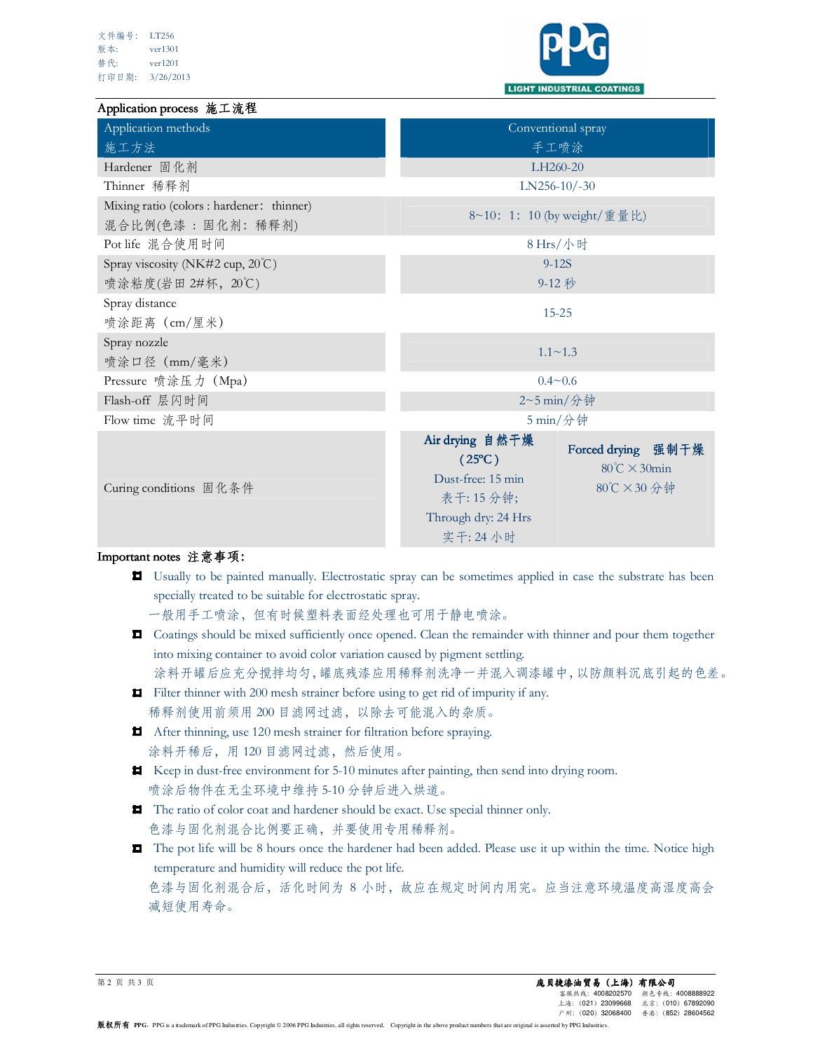

## Application process 施工流程

| Application methods                                           | Conventional spray                                                                                                                                                           |  |  |
|---------------------------------------------------------------|------------------------------------------------------------------------------------------------------------------------------------------------------------------------------|--|--|
| 施工方法                                                          | 手工喷涂                                                                                                                                                                         |  |  |
| Hardener 固化剂                                                  | LH260-20                                                                                                                                                                     |  |  |
| Thinner 稀释剂                                                   | $LN256-10/-30$                                                                                                                                                               |  |  |
| Mixing ratio (colors : hardener: thinner)<br>混合比例(色漆:固化剂:稀释剂) | 8~10: 1: 10 (by weight/重量比)                                                                                                                                                  |  |  |
| Pot life 混合使用时间                                               | $8$ Hrs/小时                                                                                                                                                                   |  |  |
| Spray viscosity (NK#2 cup, 20°C)                              | $9 - 12S$                                                                                                                                                                    |  |  |
| 喷涂粘度(岩田 2#杯, 20℃)                                             | $9-12$ 秒                                                                                                                                                                     |  |  |
| Spray distance<br>喷涂距离 (cm/厘米)                                | $15 - 25$                                                                                                                                                                    |  |  |
| Spray nozzle<br>喷涂口径 (mm/毫米)                                  | $1.1 \sim 1.3$                                                                                                                                                               |  |  |
| Pressure 喷涂压力 (Mpa)                                           | $0.4 - 0.6$                                                                                                                                                                  |  |  |
| Flash-off 层闪时间                                                | 2~5 min/分钟                                                                                                                                                                   |  |  |
| Flow time 流平时间                                                | $5 \text{ min}/\textcircled{2}$ 钟                                                                                                                                            |  |  |
| Curing conditions 固化条件                                        | Air drying 自然干燥<br>Forced drying 强制干燥<br>$(25^{\circ}C)$<br>$80^{\circ}$ C $\times$ 30min<br>Dust-free: 15 min<br>80℃×30分钟<br>表干: 15 分钟;<br>Through dry: 24 Hrs<br>实干: 24 小时 |  |  |

## Important notes 注意事项:

Usually to be painted manually. Electrostatic spray can be sometimes applied in case the substrate has been specially treated to be suitable for electrostatic spray.

一般用手工喷涂,但有时候塑料表面经处理也可用于静电喷涂。

Coatings should be mixed sufficiently once opened. Clean the remainder with thinner and pour them together into mixing container to avoid color variation caused by pigment settling.

涂料开罐后应充分搅拌均匀,罐底残漆应用稀释剂洗净一并混入调漆罐中,以防颜料沉底引起的色差。

Filter thinner with 200 mesh strainer before using to get rid of impurity if any.

稀释剂使用前须用 200 目滤网过滤,以除去可能混入的杂质。

- After thinning, use 120 mesh strainer for filtration before spraying. 涂料开稀后,用120目滤网过滤,然后使用。
- Keep in dust-free environment for 5-10 minutes after painting, then send into drying room. 喷涂后物件在无尘环境中维持 5-10 分钟后进入烘道。
- The ratio of color coat and hardener should be exact. Use special thinner only. 色漆与固化剂混合比例要正确,并要使用专用稀释剂。
- The pot life will be 8 hours once the hardener had been added. Please use it up within the time. Notice high temperature and humidity will reduce the pot life. 色漆与固化剂混合后,活化时间为 8 小时,故应在规定时间内用完。应当注意环境温度高湿度高会 减短使用寿命。